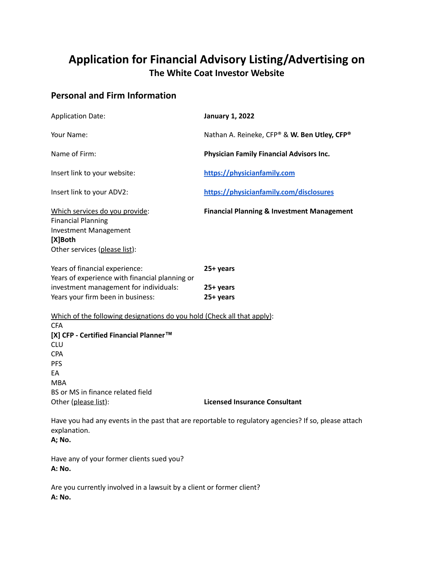# **Application for Financial Advisory Listing/Advertising on The White Coat Investor Website**

# **Personal and Firm Information**

| <b>Application Date:</b>                                                                                                                                                                                                                            | <b>January 1, 2022</b>                                |
|-----------------------------------------------------------------------------------------------------------------------------------------------------------------------------------------------------------------------------------------------------|-------------------------------------------------------|
| Your Name:                                                                                                                                                                                                                                          | Nathan A. Reineke, CFP® & W. Ben Utley, CFP®          |
| Name of Firm:                                                                                                                                                                                                                                       | Physician Family Financial Advisors Inc.              |
| Insert link to your website:                                                                                                                                                                                                                        | https://physicianfamily.com                           |
| Insert link to your ADV2:                                                                                                                                                                                                                           | https://physicianfamily.com/disclosures               |
| Which services do you provide:<br><b>Financial Planning</b><br><b>Investment Management</b><br>[X]Both<br>Other services (please list):                                                                                                             | <b>Financial Planning &amp; Investment Management</b> |
| Years of financial experience:                                                                                                                                                                                                                      | 25+ years                                             |
| Years of experience with financial planning or<br>investment management for individuals:<br>Years your firm been in business:                                                                                                                       | 25+ years<br>25+ years                                |
| Which of the following designations do you hold (Check all that apply):<br><b>CFA</b><br>[X] CFP - Certified Financial Planner™<br>CLU<br><b>CPA</b><br><b>PFS</b><br>EA<br><b>MBA</b><br>BS or MS in finance related field<br>Other (please list): | <b>Licensed Insurance Consultant</b>                  |
| Have you had any events in the past that are reportable to regulatory agencies? If so, please attach<br>explanation.<br><b>A</b> ; No.                                                                                                              |                                                       |
| Have any of your former clients sued you?<br>A: No.                                                                                                                                                                                                 |                                                       |

Are you currently involved in a lawsuit by a client or former client? **A: No.**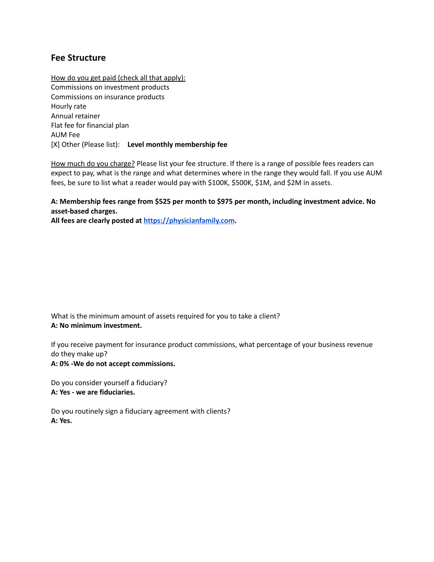### **Fee Structure**

How do you get paid (check all that apply): Commissions on investment products Commissions on insurance products Hourly rate Annual retainer Flat fee for financial plan AUM Fee [X] Other (Please list): **Level monthly membership fee**

How much do you charge? Please list your fee structure. If there is a range of possible fees readers can expect to pay, what is the range and what determines where in the range they would fall. If you use AUM fees, be sure to list what a reader would pay with \$100K, \$500K, \$1M, and \$2M in assets.

#### **A: Membership fees range from \$525 per month to \$975 per month, including investment advice. No asset-based charges.**

**All fees are clearly posted at <https://physicianfamily.com>.**

What is the minimum amount of assets required for you to take a client? **A: No minimum investment.**

If you receive payment for insurance product commissions, what percentage of your business revenue do they make up?

**A: 0% -We do not accept commissions.**

Do you consider yourself a fiduciary? **A: Yes - we are fiduciaries.**

Do you routinely sign a fiduciary agreement with clients? **A: Yes.**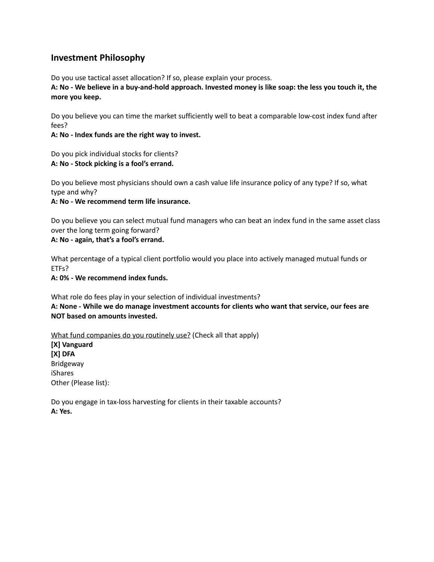## **Investment Philosophy**

Do you use tactical asset allocation? If so, please explain your process.

A: No - We believe in a buy-and-hold approach. Invested money is like soap: the less you touch it, the **more you keep.**

Do you believe you can time the market sufficiently well to beat a comparable low-cost index fund after fees?

**A: No - Index funds are the right way to invest.**

Do you pick individual stocks for clients? **A: No - Stock picking is a fool's errand.**

Do you believe most physicians should own a cash value life insurance policy of any type? If so, what type and why?

**A: No - We recommend term life insurance.**

Do you believe you can select mutual fund managers who can beat an index fund in the same asset class over the long term going forward?

**A: No - again, that's a fool's errand.**

What percentage of a typical client portfolio would you place into actively managed mutual funds or ETFs?

**A: 0% - We recommend index funds.**

What role do fees play in your selection of individual investments? **A: None - While we do manage investment accounts for clients who want that service, our fees are NOT based on amounts invested.**

What fund companies do you routinely use? (Check all that apply)

**[X] Vanguard [X] DFA** Bridgeway iShares Other (Please list):

Do you engage in tax-loss harvesting for clients in their taxable accounts? **A: Yes.**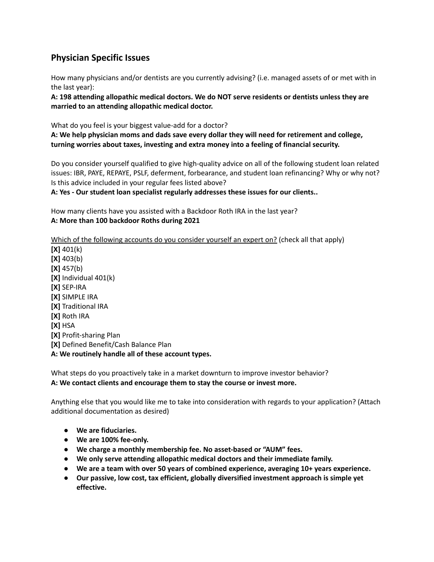# **Physician Specific Issues**

How many physicians and/or dentists are you currently advising? (i.e. managed assets of or met with in the last year):

**A: 198 attending allopathic medical doctors. We do NOT serve residents or dentists unless they are married to an attending allopathic medical doctor.**

What do you feel is your biggest value-add for a doctor?

**A: We help physician moms and dads save every dollar they will need for retirement and college, turning worries about taxes, investing and extra money into a feeling of financial security.**

Do you consider yourself qualified to give high-quality advice on all of the following student loan related issues: IBR, PAYE, REPAYE, PSLF, deferment, forbearance, and student loan refinancing? Why or why not? Is this advice included in your regular fees listed above?

**A: Yes - Our student loan specialist regularly addresses these issues for our clients..**

How many clients have you assisted with a Backdoor Roth IRA in the last year? **A: More than 100 backdoor Roths during 2021**

Which of the following accounts do you consider yourself an expert on? (check all that apply)

**[X]** 401(k) **[X]** 403(b) **[X]** 457(b) **[X]** Individual 401(k) **[X]** SEP-IRA **[X]** SIMPLE IRA **[X]** Traditional IRA **[X]** Roth IRA **[X]** HSA **[X]** Profit-sharing Plan **[X]** Defined Benefit/Cash Balance Plan **A: We routinely handle all of these account types.**

What steps do you proactively take in a market downturn to improve investor behavior? **A: We contact clients and encourage them to stay the course or invest more.**

Anything else that you would like me to take into consideration with regards to your application? (Attach additional documentation as desired)

- **● We are fiduciaries.**
- **● We are 100% fee-only.**
- **● We charge a monthly membership fee. No asset-based or "AUM" fees.**
- **● We only serve attending allopathic medical doctors and their immediate family.**
- **● We are a team with over 50 years of combined experience, averaging 10+ years experience.**
- **● Our passive, low cost, tax efficient, globally diversified investment approach is simple yet effective.**